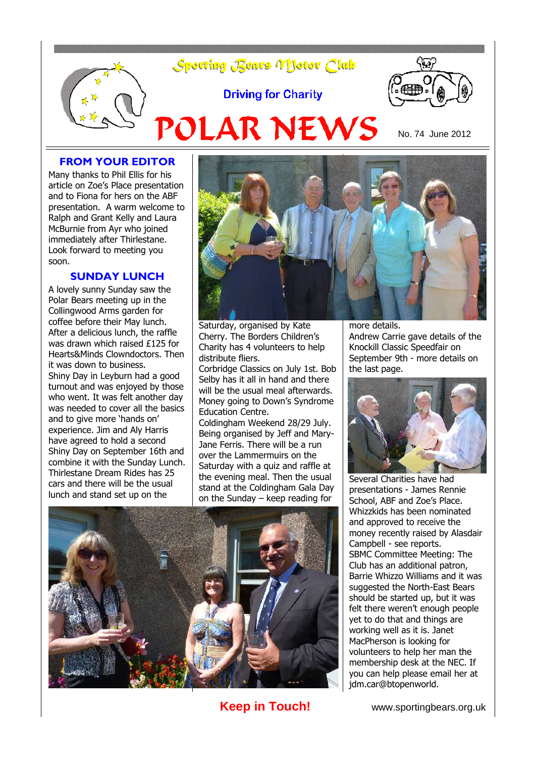

#### **FROM YOUR EDITOR**

Many thanks to Phil Ellis for his article on Zoe's Place presentation and to Fiona for hers on the ABF presentation. A warm welcome to Ralph and Grant Kelly and Laura McBurnie from Ayr who joined immediately after Thirlestane. Look forward to meeting you soon.

#### **SUNDAY LUNCH**

A lovely sunny Sunday saw the Polar Bears meeting up in the Collingwood Arms garden for coffee before their May lunch. After a delicious lunch, the raffle was drawn which raised £125 for Hearts&Minds Clowndoctors. Then it was down to business. Shiny Day in Leyburn had a good turnout and was enjoyed by those who went. It was felt another day was needed to cover all the basics and to give more 'hands on' experience. Jim and Aly Harris have agreed to hold a second Shiny Day on September 16th and combine it with the Sunday Lunch. Thirlestane Dream Rides has 25 cars and there will be the usual lunch and stand set up on the



Saturday, organised by Kate Cherry. The Borders Children's Charity has 4 volunteers to help distribute fliers.

Corbridge Classics on July 1st. Bob Selby has it all in hand and there will be the usual meal afterwards. Money going to Down's Syndrome Education Centre.

Coldingham Weekend 28/29 July. Being organised by Jeff and Mary-Jane Ferris. There will be a run over the Lammermuirs on the Saturday with a quiz and raffle at the evening meal. Then the usual stand at the Coldingham Gala Day on the Sunday – keep reading for



**Keep in Touch!** www.sportingbears.org.uk

more details. Andrew Carrie gave details of the Knockill Classic Speedfair on September 9th - more details on the last page.



Several Charities have had presentations - James Rennie School, ABF and Zoe's Place. Whizzkids has been nominated and approved to receive the money recently raised by Alasdair Campbell - see reports. SBMC Committee Meeting: The Club has an additional patron, Barrie Whizzo Williams and it was suggested the North-East Bears should be started up, but it was felt there weren't enough people yet to do that and things are working well as it is. Janet MacPherson is looking for volunteers to help her man the membership desk at the NEC. If you can help please email her at jdm.car@btopenworld.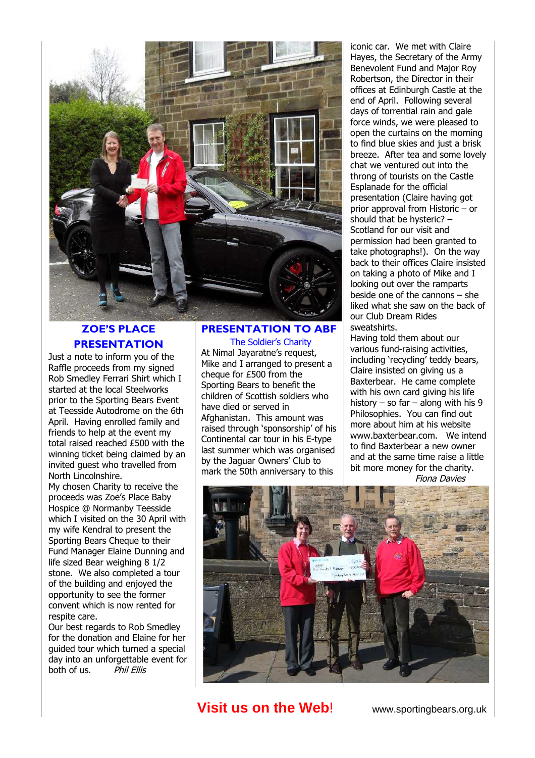

## **ZOE'S PLACE PRESENTATION**

Just a note to inform you of the Raffle proceeds from my signed Rob Smedley Ferrari Shirt which I started at the local Steelworks prior to the Sporting Bears Event at Teesside Autodrome on the 6th April. Having enrolled family and friends to help at the event my total raised reached £500 with the winning ticket being claimed by an invited guest who travelled from North Lincolnshire.

My chosen Charity to receive the proceeds was Zoe's Place Baby Hospice @ Normanby Teesside which I visited on the 30 April with my wife Kendral to present the Sporting Bears Cheque to their Fund Manager Elaine Dunning and life sized Bear weighing 8 1/2 stone. We also completed a tour of the building and enjoyed the opportunity to see the former convent which is now rented for respite care.

Our best regards to Rob Smedley for the donation and Elaine for her guided tour which turned a special day into an unforgettable event for both of us. Phil Ellis

#### **PRESENTATION TO ABF**

The Soldier's Charity At Nimal Jayaratne's request, Mike and I arranged to present a cheque for £500 from the Sporting Bears to benefit the children of Scottish soldiers who have died or served in Afghanistan. This amount was raised through 'sponsorship' of his Continental car tour in his E-type last summer which was organised by the Jaguar Owners' Club to mark the 50th anniversary to this

iconic car. We met with Claire Hayes, the Secretary of the Army Benevolent Fund and Major Roy Robertson, the Director in their offices at Edinburgh Castle at the end of April. Following several days of torrential rain and gale force winds, we were pleased to open the curtains on the morning to find blue skies and just a brisk breeze. After tea and some lovely chat we ventured out into the throng of tourists on the Castle Esplanade for the official presentation (Claire having got prior approval from Historic – or should that be hysteric? – Scotland for our visit and permission had been granted to take photographs!). On the way back to their offices Claire insisted on taking a photo of Mike and I looking out over the ramparts beside one of the cannons – she liked what she saw on the back of our Club Dream Rides sweatshirts.

Having told them about our various fund-raising activities, including 'recycling' teddy bears, Claire insisted on giving us a Baxterbear. He came complete with his own card giving his life history – so far – along with his 9 Philosophies. You can find out more about him at his website www.baxterbear.com. We intend to find Baxterbear a new owner and at the same time raise a little bit more money for the charity. Fiona Davies



## **Visit us on the Web!** www.sportingbears.org.uk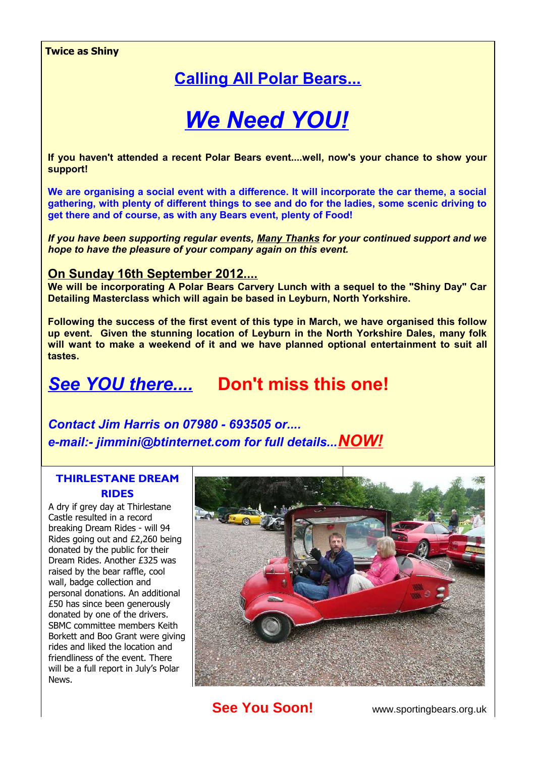#### **Twice as Shiny**

# **Calling All Polar Bears...**

# *We Need YOU!*

**If you haven't attended a recent Polar Bears event....well, now's your chance to show your support!**

**We are organising a social event with a difference. It will incorporate the car theme, a social gathering, with plenty of different things to see and do for the ladies, some scenic driving to get there and of course, as with any Bears event, plenty of Food!** 

*If you have been supporting regular events, Many Thanks for your continued support and we hope to have the pleasure of your company again on this event.*

### **On Sunday 16th September 2012....**

**We will be incorporating A Polar Bears Carvery Lunch with a sequel to the "Shiny Day" Car Detailing Masterclass which will again be based in Leyburn, North Yorkshire.**

**Following the success of the first event of this type in March, we have organised this follow up event. Given the stunning location of Leyburn in the North Yorkshire Dales, many folk will want to make a weekend of it and we have planned optional entertainment to suit all tastes.**

# *See YOU there....* **Don't miss this one!**

# *Contact Jim Harris on 07980 - 693505 or.... e-mail:- jimmini@btinternet.com for full details...NOW!*

### **THIRLESTANE DREAM RIDES**

A dry if grey day at Thirlestane Castle resulted in a record breaking Dream Rides - will 94 Rides going out and £2,260 being donated by the public for their Dream Rides. Another £325 was raised by the bear raffle, cool wall, badge collection and personal donations. An additional £50 has since been generously donated by one of the drivers. SBMC committee members Keith Borkett and Boo Grant were giving rides and liked the location and friendliness of the event. There will be a full report in July's Polar News.